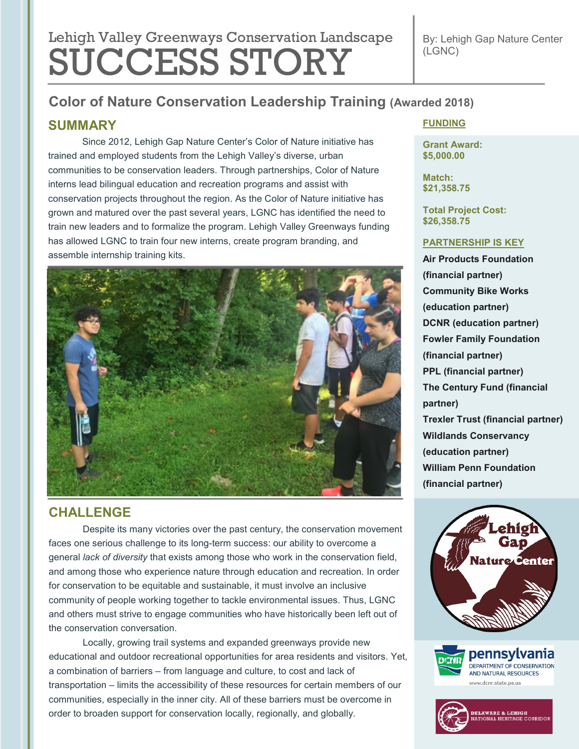# Lehigh Valley Greenways Conservation Landscape SUCCESS STORY

By: Lehigh Gap Nature Center (LGNC)

## **Color of Nature Conservation Leadership Training (Awarded 2018)**

## **SUMMARY**

Since 2012, Lehigh Gap Nature Center's Color of Nature initiative has trained and employed students from the Lehigh Valley's diverse, urban communities to be conservation leaders. Through partnerships, Color of Nature interns lead bilingual education and recreation programs and assist with conservation projects throughout the region. As the Color of Nature initiative has grown and matured over the past several years, LGNC has identified the need to train new leaders and to formalize the program. Lehigh Valley Greenways funding has allowed LGNC to train four new interns, create program branding, and assemble internship training kits.



## **CHALLENGE**

Despite its many victories over the past century, the conservation movement faces one serious challenge to its long-term success: our ability to overcome a general *lack of diversity* that exists among those who work in the conservation field, and among those who experience nature through education and recreation. In order for conservation to be equitable and sustainable, it must involve an inclusive community of people working together to tackle environmental issues. Thus, LGNC and others must strive to engage communities who have historically been left out of the conservation conversation.

Locally, growing trail systems and expanded greenways provide new educational and outdoor recreational opportunities for area residents and visitors. Yet, a combination of barriers – from language and culture, to cost and lack of transportation – limits the accessibility of these resources for certain members of our communities, especially in the inner city. All of these barriers must be overcome in order to broaden support for conservation locally, regionally, and globally.

#### **FUNDING**

**Grant Award: \$5,000.00**

**Match: \$21,358.75**

**Total Project Cost: \$26,358.75**

#### **PARTNERSHIP IS KEY**

**Air Products Foundation (financial partner) Community Bike Works (education partner) DCNR (education partner) Fowler Family Foundation (financial partner) PPL (financial partner) The Century Fund (financial partner) Trexler Trust (financial partner) Wildlands Conservancy (education partner) William Penn Foundation (financial partner)**